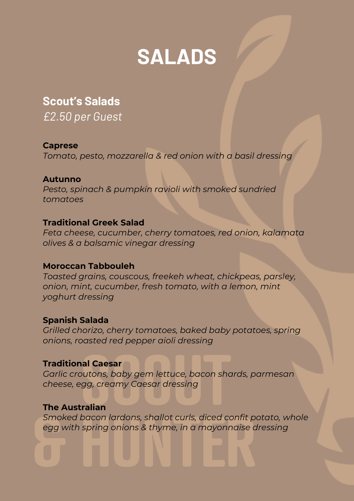

# **Scout's Salads**

*£2.50 per Guest*

# **Caprese**

*Tomato, pesto, mozzarella & red onion with a basil dressing*

## **Autunno**

*Pesto, spinach & pumpkin ravioli with smoked sundried tomatoes*

# **Traditional Greek Salad**

*Feta cheese, cucumber, cherry tomatoes, red onion, kalamata olives & a balsamic vinegar dressing*

# **Moroccan Tabbouleh**

*Toasted grains, couscous, freekeh wheat, chickpeas, parsley, onion, mint, cucumber, fresh tomato, with a lemon, mint yoghurt dressing*

# **Spanish Salada**

*Grilled chorizo, cherry tomatoes, baked baby potatoes, spring onions, roasted red pepper aioli dressing*

# **Traditional Caesar**

*Garlic croutons, baby gem lettuce, bacon shards, parmesan cheese, egg, creamy Caesar dressing*

### **The Australian**

*Smoked bacon lardons, shallot curls, diced confit potato, whole egg with spring onions & thyme, in a mayonnaise dressing*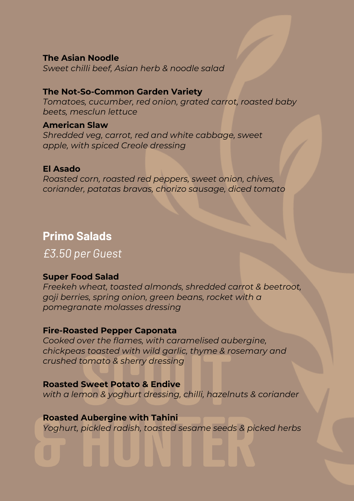### **The Asian Noodle**

*Sweet chilli beef, Asian herb & noodle salad*

# **The Not-So-Common Garden Variety**

*Tomatoes, cucumber, red onion, grated carrot, roasted baby beets, mesclun lettuce*

#### **American Slaw**

*Shredded veg, carrot, red and white cabbage, sweet apple, with spiced Creole dressing*

## **El Asado**

*Roasted corn, roasted red peppers, sweet onion, chives, coriander, patatas bravas, chorizo sausage, diced tomato*

# **Primo Salads**

*£3.50 per Guest*

### **Super Food Salad**

*Freekeh wheat, toasted almonds, shredded carrot & beetroot, goji berries, spring onion, green beans, rocket with a pomegranate molasses dressing*

### **Fire-Roasted Pepper Caponata**

*Cooked over the flames, with caramelised aubergine, chickpeas toasted with wild garlic, thyme & rosemary and crushed tomato & sherry dressing*

### **Roasted Sweet Potato & Endive**

*with a lemon & yoghurt dressing, chilli, hazelnuts & coriander*

### **Roasted Aubergine with Tahini**

*Yoghurt, pickled radish, toasted sesame seeds & picked herbs*